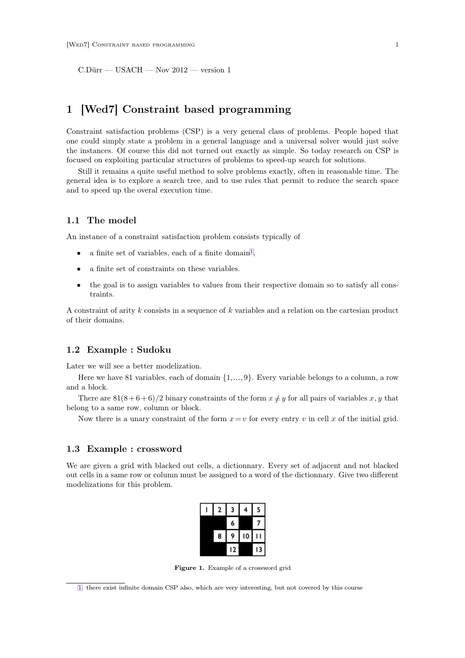<span id="page-0-0"></span>C.Dürr — USACH — Nov 2012 — version 1

# **1 [Wed7] Constraint based programming**

Constraint satisfaction problems (CSP) is a very general class of problems. People hoped that one could simply state a problem in a general language and a universal solver would just solve the instances. Of course this did not turned out exactly as simple. So today research on CSP is focused on exploiting particular structures of problems to speed-up search for solutions.

Still it remains a quite useful method to solve problems exactly, often in reasonable time. The general idea is to explore a search tree, and to use rules that permit to reduce the search space and to speed up the overal execution time.

# **1.1 The model**

An instance of a constraint satisfaction problem consists typically of

- a finite set of variables, each of a finite domain<sup>1</sup>,
- a finite set of constraints on these variables.
- the goal is to assign variables to values from their respective domain so to satisfy all constraints.

A constraint of arity k consists in a sequence of k variables and a relation on the cartesian product of their domains.

# **1.2 Example : Sudoku**

Later we will see a better modelization.

Here we have 81 variables, each of domain  $\{1, \ldots, 9\}$ . Every variable belongs to a column, a row and a block.

There are  $81(8+6+6)/2$  binary constraints of the form  $x \neq y$  for all pairs of variables x, y that belong to a same row, column or block.

Now there is a unary constraint of the form  $x = v$  for every entry v in cell x of the initial grid.

## **1.3 Example : crossword**

We are given a grid with blacked out cells, a dictionnary. Every set of adjacent and not blacked out cells in a same row or column must be assigned to a word of the dictionnary. Give two different modelizations for this problem.

| 2 | 3  | 4  | 5  |  |
|---|----|----|----|--|
|   | 6  |    |    |  |
| 8 | 9  | 10 |    |  |
|   | 12 |    | 13 |  |

**Figure 1.** Example of a crossword grid

[<sup>1.</sup>](#page-0-0) there exist infinite domain CSP also, which are very interesting, but not covered by this course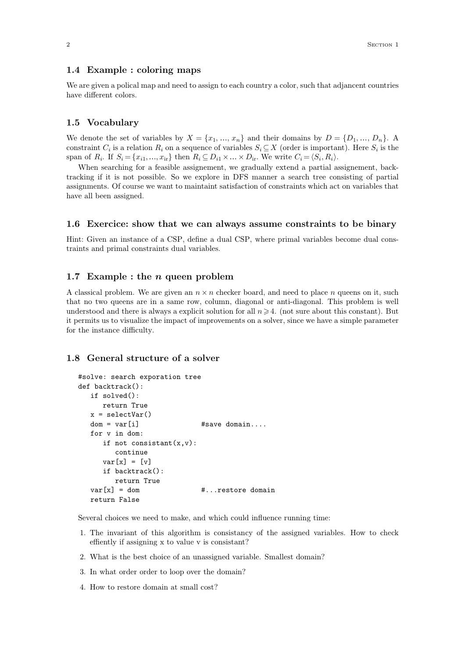# **1.4 Example : coloring maps**

We are given a polical map and need to assign to each country a color, such that adjancent countries have different colors.

# **1.5 Vocabulary**

We denote the set of variables by  $X = \{x_1, ..., x_n\}$  and their domains by  $D = \{D_1, ..., D_n\}$ . A constraint  $C_i$  is a relation  $R_i$  on a sequence of variables  $S_i \subseteq X$  (order is important). Here  $S_i$  is the span of  $R_i$ . If  $S_i = \{x_{i1}, ..., x_{ir}\}\$ then  $R_i \subseteq D_{i1} \times ... \times D_{ir}$ . We write  $C_i = \langle S_i, R_i \rangle$ .

When searching for a feasible assignement, we gradually extend a partial assignement, backtracking if it is not possible. So we explore in DFS manner a search tree consisting of partial assignments. Of course we want to maintaint satisfaction of constraints which act on variables that have all been assigned.

## **1.6 Exercice: show that we can always assume constraints to be binary**

Hint: Given an instance of a CSP, define a dual CSP, where primal variables become dual constraints and primal constraints dual variables.

# **1.7 Example : the** n **queen problem**

A classical problem. We are given an  $n \times n$  checker board, and need to place n queens on it, such that no two queens are in a same row, column, diagonal or anti-diagonal. This problem is well understood and there is always a explicit solution for all  $n \geq 4$ . (not sure about this constant). But it permits us to visualize the impact of improvements on a solver, since we have a simple parameter for the instance difficulty.

# **1.8 General structure of a solver**

```
#solve: search exporation tree
def backtrack():
  if solved():
     return True
  x = selectVar()dom = var[i] #save domain....
  for v in dom:
     if not consistant(x,y):
        continue
     var[x] = [v]if backtrack():
        return True
  var[x] = dom #...restore domain
  return False
```
Several choices we need to make, and which could influence running time:

- 1. The invariant of this algorithm is consistancy of the assigned variables. How to check effiently if assigning x to value v is consistant?
- 2. What is the best choice of an unassigned variable. Smallest domain?
- 3. In what order order to loop over the domain?
- 4. How to restore domain at small cost?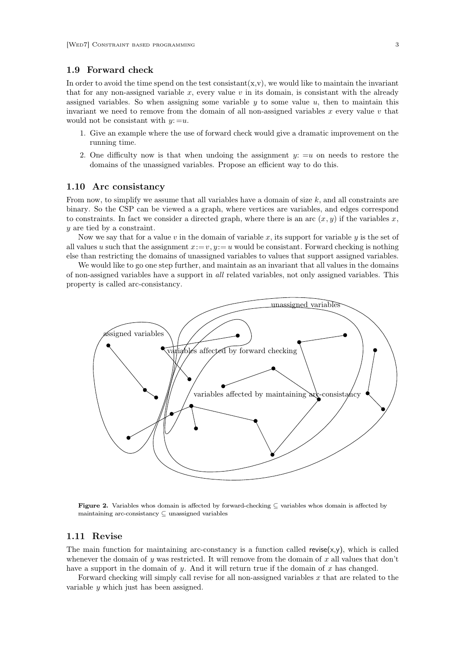### **1.9 Forward check**

In order to avoid the time spend on the test consistant(x,v), we would like to maintain the invariant that for any non-assigned variable x, every value v in its domain, is consistant with the already assigned variables. So when assigning some variable  $y$  to some value  $u$ , then to maintain this invariant we need to remove from the domain of all non-assigned variables  $x$  every value  $v$  that would not be consistant with  $y: =u$ .

- 1. Give an example where the use of forward check would give a dramatic improvement on the running time.
- 2. One difficulty now is that when undoing the assignment  $y: =u$  on needs to restore the domains of the unassigned variables. Propose an efficient way to do this.

#### **1.10 Arc consistancy**

From now, to simplify we assume that all variables have a domain of size  $k$ , and all constraints are binary. So the CSP can be viewed a a graph, where vertices are variables, and edges correspond to constraints. In fact we consider a directed graph, where there is an arc  $(x, y)$  if the variables x, y are tied by a constraint.

Now we say that for a value v in the domain of variable x, its support for variable  $y$  is the set of all values u such that the assignment  $x:=v, y := u$  would be consistant. Forward checking is nothing else than restricting the domains of unassigned variables to values that support assigned variables.

We would like to go one step further, and maintain as an invariant that all values in the domains of non-assigned variables have a support in *all* related variables, not only assigned variables. This property is called arc-consistancy.



**Figure 2.** Variables whos domain is affected by forward-checking ⊆ variables whos domain is affected by maintaining arc-consistancy ⊆ unassigned variables

# **1.11 Revise**

The main function for maintaining arc-constancy is a function called revise $(x,y)$ , which is called whenever the domain of y was restricted. It will remove from the domain of x all values that don't have a support in the domain of  $y$ . And it will return true if the domain of  $x$  has changed.

Forward checking will simply call revise for all non-assigned variables x that are related to the variable  $\boldsymbol{\theta}$  which just has been assigned.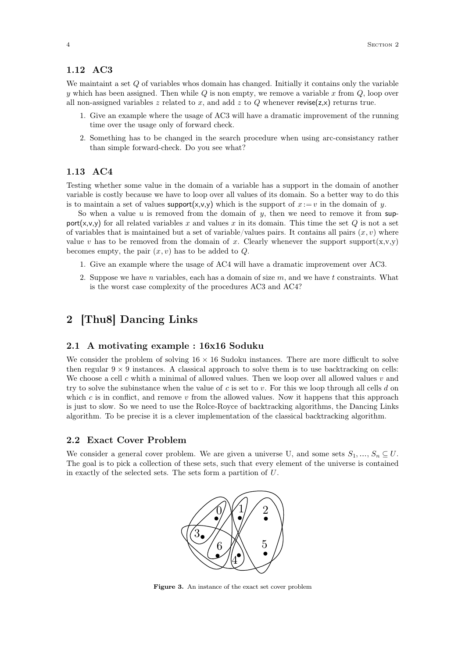#### <span id="page-3-0"></span>**1.12 AC3**

We maintaint a set  $Q$  of variables whos domain has changed. Initially it contains only the variable y which has been assigned. Then while  $Q$  is non empty, we remove a variable x from  $Q$ , loop over all non-assigned variables z related to x, and add z to Q whenever revise( $z, x$ ) returns true.

- 1. Give an example where the usage of AC3 will have a dramatic improvement of the running time over the usage only of forward check.
- 2. Something has to be changed in the search procedure when using arc-consistancy rather than simple forward-check. Do you see what?

# **1.13 AC4**

Testing whether some value in the domain of a variable has a support in the domain of another variable is costly because we have to loop over all values of its domain. So a better way to do this is to maintain a set of values support $(x,y,y)$  which is the support of  $x := v$  in the domain of y.

So when a value  $u$  is removed from the domain of  $y$ , then we need to remove it from support(x,v,y) for all related variables x and values x in its domain. This time the set  $Q$  is not a set of variables that is maintained but a set of variable/values pairs. It contains all pairs  $(x, v)$  where value v has to be removed from the domain of x. Clearly whenever the support support $(x,y,y)$ becomes empty, the pair  $(x, v)$  has to be added to  $Q$ .

- 1. Give an example where the usage of AC4 will have a dramatic improvement over AC3.
- 2. Suppose we have n variables, each has a domain of size  $m$ , and we have t constraints. What is the worst case complexity of the procedures AC3 and AC4?

# **2 [Thu8] Dancing Links**

## **2.1 A motivating example : 16x16 Soduku**

We consider the problem of solving  $16 \times 16$  Sudoku instances. There are more difficult to solve then regular  $9 \times 9$  instances. A classical approach to solve them is to use backtracking on cells: We choose a cell c whith a minimal of allowed values. Then we loop over all allowed values  $v$  and try to solve the subinstance when the value of  $c$  is set to  $v$ . For this we loop through all cells  $d$  on which  $c$  is in conflict, and remove  $v$  from the allowed values. Now it happens that this approach is just to slow. So we need to use the Rolce-Royce of backtracking algorithms, the Dancing Links algorithm. To be precise it is a clever implementation of the classical backtracking algorithm.

#### **2.2 Exact Cover Problem**

We consider a general cover problem. We are given a universe U, and some sets  $S_1, ..., S_n \subseteq U$ . The goal is to pick a collection of these sets, such that every element of the universe is contained in exactly of the selected sets. The sets form a partition of U.



**Figure 3.** An instance of the exact set cover problem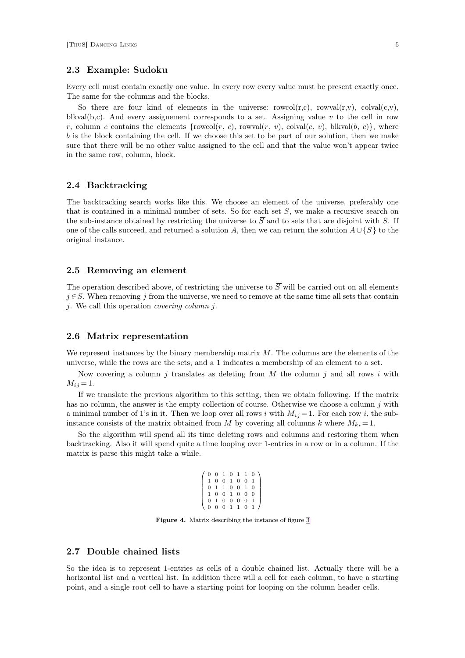# **2.3 Example: Sudoku**

Every cell must contain exactly one value. In every row every value must be present exactly once. The same for the columns and the blocks.

So there are four kind of elements in the universe:  $rowcol(r,c)$ ,  $rowval(r,v)$ ,  $colval(c,v)$ , blkval(b,c). And every assignement corresponds to a set. Assigning value v to the cell in row r, column c contains the elements {rowcol(r, c), rowval(r, v), colval(c, v), blkval(b, c)}, where  $b$  is the block containing the cell. If we choose this set to be part of our solution, then we make sure that there will be no other value assigned to the cell and that the value won't appear twice in the same row, column, block.

## **2.4 Backtracking**

The backtracking search works like this. We choose an element of the universe, preferably one that is contained in a minimal number of sets. So for each set  $S$ , we make a recursive search on the sub-instance obtained by restricting the universe to  $\overline{S}$  and to sets that are disjoint with S. If one of the calls succeed, and returned a solution A, then we can return the solution  $A \cup \{S\}$  to the original instance.

# **2.5 Removing an element**

The operation described above, of restricting the universe to  $\overline{S}$  will be carried out on all elements  $j \in S$ . When removing j from the universe, we need to remove at the same time all sets that contain j. We call this operation *covering column* j.

## **2.6 Matrix representation**

We represent instances by the binary membership matrix  $M$ . The columns are the elements of the universe, while the rows are the sets, and a 1 indicates a membership of an element to a set.

Now covering a column j translates as deleting from  $M$  the column j and all rows i with  $M_{i,j} = 1.$ 

If we translate the previous algorithm to this setting, then we obtain following. If the matrix has no column, the answer is the empty collection of course. Otherwise we choose a column  $j$  with a minimal number of 1's in it. Then we loop over all rows i with  $M_{ij} = 1$ . For each row i, the subinstance consists of the matrix obtained from M by covering all columns k where  $M_{ki} = 1$ .

So the algorithm will spend all its time deleting rows and columns and restoring them when backtracking. Also it will spend quite a time looping over 1-entries in a row or in a column. If the matrix is parse this might take a while.

|  |  |  | $\begin{array}{cccccccc} 0&0&1&0&1&1&0\\ 1&0&0&1&0&0&1\\ 0&1&1&0&0&1&0\\ 1&0&0&1&0&0&0\\ 0&1&0&0&0&0&1\\ 0&0&0&1&1&0&1 \end{array}$ |
|--|--|--|-------------------------------------------------------------------------------------------------------------------------------------|
|  |  |  |                                                                                                                                     |
|  |  |  |                                                                                                                                     |
|  |  |  |                                                                                                                                     |
|  |  |  |                                                                                                                                     |
|  |  |  |                                                                                                                                     |

**Figure 4.** Matrix describing the instance of figure [3](#page-3-0)

# **2.7 Double chained lists**

So the idea is to represent 1-entries as cells of a double chained list. Actually there will be a horizontal list and a vertical list. In addition there will a cell for each column, to have a starting point, and a single root cell to have a starting point for looping on the column header cells.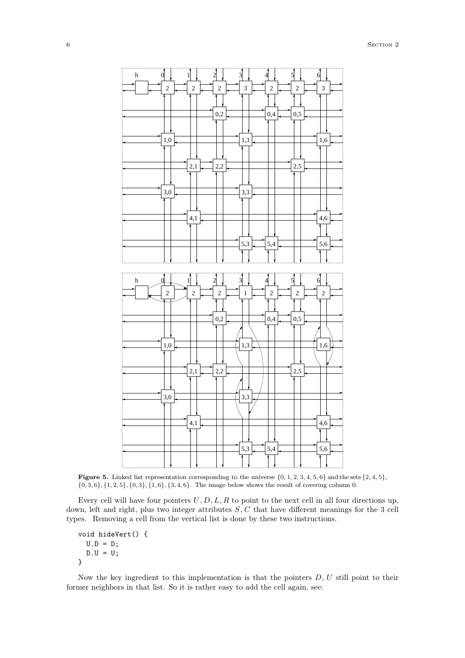<span id="page-5-0"></span>

**Figure 5.** Linked list representation corresponding to the universe  $\{0, 1, 2, 3, 4, 5, 6\}$  and the sets  $\{2, 4, 5\}$ ,  ${0, 3, 6}, {1, 2, 5}, {0, 3}, {1, 6}, {3, 4, 6}.$  The image below shows the result of covering column 0.

Every cell will have four pointers  $U, D, L, R$  to point to the next cell in all four directions up, down, left and right, plus two integer attributes S, C that have different meanings for the 3 cell types. Removing a cell from the vertical list is done by these two instructions.

```
void hideVert() {
 U.D = D;D.U = U;}
```
Now the key ingredient to this implementation is that the pointers  $D, U$  still point to their former neighbors in that list. So it is rather easy to add the cell again, see: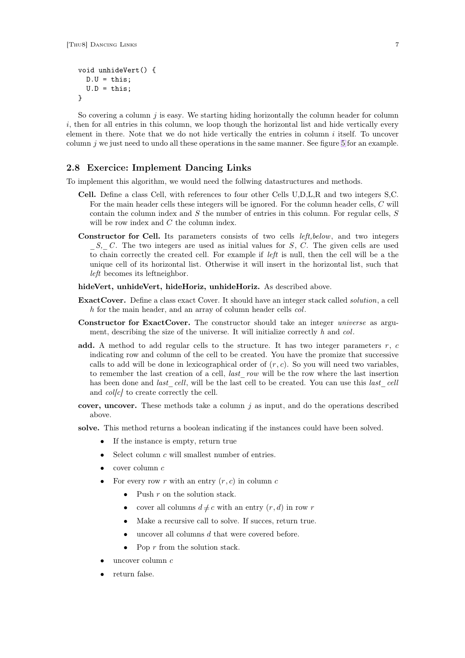```
void unhideVert() {
 D.U = this;U.D = this;}
```
So covering a column  $j$  is easy. We starting hiding horizontally the column header for column  $i$ , then for all entries in this column, we loop though the horizontal list and hide vertically every element in there. Note that we do not hide vertically the entries in column  $i$  itself. To uncover column  $j$  we just need to undo all these operations in the same manner. See figure [5](#page-5-0) for an example.

# **2.8 Exercice: Implement Dancing Links**

To implement this algorithm, we would need the follwing datastructures and methods.

- **Cell.** Define a class Cell, with references to four other Cells U,D,L,R and two integers S,C. For the main header cells these integers will be ignored. For the column header cells, C will contain the column index and  $S$  the number of entries in this column. For regular cells,  $S$ will be row index and C the column index.
- **Constructor for Cell.** Its parameters consists of two cells *left,below*, and two integers *S, C.* The two integers are used as initial values for S, C. The given cells are used to chain correctly the created cell. For example if *left* is null, then the cell will be a the unique cell of its horizontal list. Otherwise it will insert in the horizontal list, such that *left* becomes its leftneighbor.

**hideVert, unhideVert, hideHoriz, unhideHoriz.** As described above.

- **ExactCover.** Define a class exact Cover. It should have an integer stack called *solution*, a cell h for the main header, and an array of column header cells *col*.
- **Constructor for ExactCover.** The constructor should take an integer *universe* as argument, describing the size of the universe. It will initialize correctly *h* and *col*.
- **add.** A method to add regular cells to the structure. It has two integer parameters  $r$ ,  $c$ indicating row and column of the cell to be created. You have the promize that successive calls to add will be done in lexicographical order of  $(r, c)$ . So you will need two variables, to remember the last creation of a cell, *last\_row* will be the row where the last insertion has been done and *last* cell, will be the last cell to be created. You can use this *last* cell and *col[c]* to create correctly the cell.
- **cover, uncover.** These methods take a column  $j$  as input, and do the operations described above.
- **solve.** This method returns a boolean indicating if the instances could have been solved.
	- If the instance is empty, return true
	- Select column  $c$  will smallest number of entries.
	- cover column c
	- For every row r with an entry  $(r, c)$  in column c
		- Push  $r$  on the solution stack.
		- cover all columns  $d \neq c$  with an entry  $(r, d)$  in row r
		- Make a recursive call to solve. If succes, return true.
		- $\bullet$  uncover all columns d that were covered before.
		- Pop  $r$  from the solution stack.
	- uncover column  $c$
	- return false.